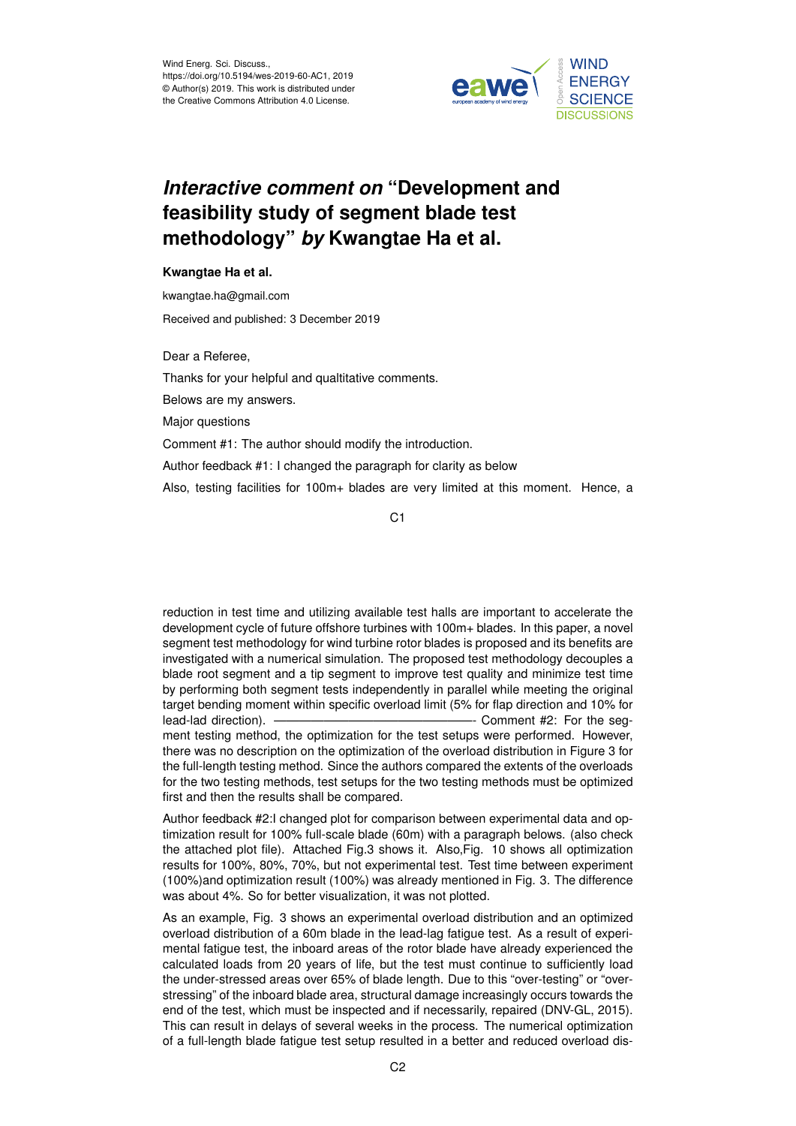

## *Interactive comment on* **"Development and feasibility study of segment blade test methodology"** *by* **Kwangtae Ha et al.**

## **Kwangtae Ha et al.**

kwangtae.ha@gmail.com

Received and published: 3 December 2019

Dear a Referee,

Thanks for your helpful and qualtitative comments.

Belows are my answers.

Major questions

Comment #1: The author should modify the introduction.

Author feedback #1: I changed the paragraph for clarity as below

Also, testing facilities for 100m+ blades are very limited at this moment. Hence, a

C1

reduction in test time and utilizing available test halls are important to accelerate the development cycle of future offshore turbines with 100m+ blades. In this paper, a novel segment test methodology for wind turbine rotor blades is proposed and its benefits are investigated with a numerical simulation. The proposed test methodology decouples a blade root segment and a tip segment to improve test quality and minimize test time by performing both segment tests independently in parallel while meeting the original target bending moment within specific overload limit (5% for flap direction and 10% for lead-lad direction). ————————————————- Comment #2: For the segment testing method, the optimization for the test setups were performed. However, there was no description on the optimization of the overload distribution in Figure 3 for the full-length testing method. Since the authors compared the extents of the overloads for the two testing methods, test setups for the two testing methods must be optimized first and then the results shall be compared.

Author feedback #2:I changed plot for comparison between experimental data and optimization result for 100% full-scale blade (60m) with a paragraph belows. (also check the attached plot file). Attached Fig.3 shows it. Also,Fig. 10 shows all optimization results for 100%, 80%, 70%, but not experimental test. Test time between experiment (100%)and optimization result (100%) was already mentioned in Fig. 3. The difference was about 4%. So for better visualization, it was not plotted.

As an example, Fig. 3 shows an experimental overload distribution and an optimized overload distribution of a 60m blade in the lead-lag fatigue test. As a result of experimental fatigue test, the inboard areas of the rotor blade have already experienced the calculated loads from 20 years of life, but the test must continue to sufficiently load the under-stressed areas over 65% of blade length. Due to this "over-testing" or "overstressing" of the inboard blade area, structural damage increasingly occurs towards the end of the test, which must be inspected and if necessarily, repaired (DNV-GL, 2015). This can result in delays of several weeks in the process. The numerical optimization of a full-length blade fatigue test setup resulted in a better and reduced overload dis